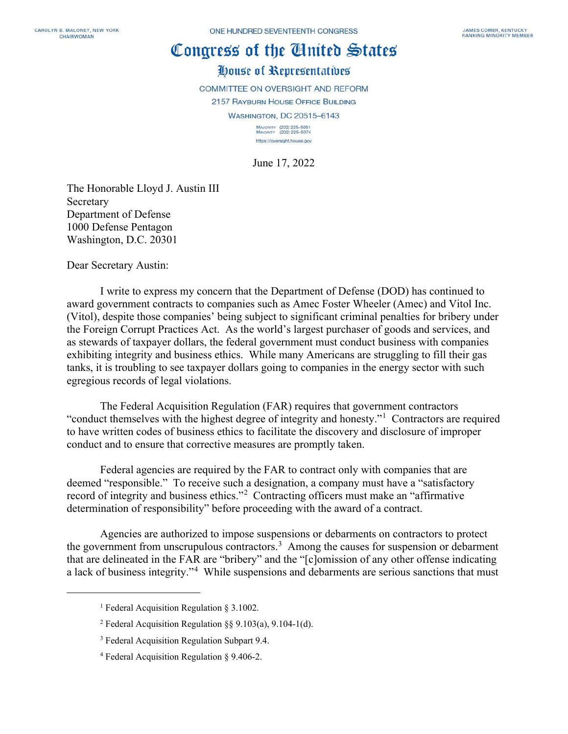## Congress of the Cluited States

## House of Representatives

COMMITTEE ON OVERSIGHT AND REFORM

2157 RAYBURN HOUSE OFFICE BUILDING

**WASHINGTON, DC 20515-6143** 

MAJORITY (202) 225-5051<br>MINORITY (202) 225-5074 https://oversight.house.gov

June 17, 2022

The Honorable Lloyd J. Austin III Secretary Department of Defense 1000 Defense Pentagon Washington, D.C. 20301

Dear Secretary Austin:

I write to express my concern that the Department of Defense (DOD) has continued to award government contracts to companies such as Amec Foster Wheeler (Amec) and Vitol Inc. (Vitol), despite those companies' being subject to significant criminal penalties for bribery under the Foreign Corrupt Practices Act. As the world's largest purchaser of goods and services, and as stewards of taxpayer dollars, the federal government must conduct business with companies exhibiting integrity and business ethics. While many Americans are struggling to fill their gas tanks, it is troubling to see taxpayer dollars going to companies in the energy sector with such egregious records of legal violations.

The Federal Acquisition Regulation (FAR) requires that government contractors "conduct themselves with the highest degree of integrity and honesty."<sup>[1](#page-0-0)</sup> Contractors are required to have written codes of business ethics to facilitate the discovery and disclosure of improper conduct and to ensure that corrective measures are promptly taken.

Federal agencies are required by the FAR to contract only with companies that are deemed "responsible." To receive such a designation, a company must have a "satisfactory record of integrity and business ethics."<sup>[2](#page-0-1)</sup> Contracting officers must make an "affirmative determination of responsibility" before proceeding with the award of a contract.

<span id="page-0-0"></span>Agencies are authorized to impose suspensions or debarments on contractors to protect the government from unscrupulous contractors.<sup>[3](#page-0-2)</sup> Among the causes for suspension or debarment that are delineated in the FAR are "bribery" and the "[c]omission of any other offense indicating a lack of business integrity."<sup>[4](#page-0-3)</sup> While suspensions and debarments are serious sanctions that must

<sup>&</sup>lt;sup>1</sup> Federal Acquisition Regulation § 3.1002.

<span id="page-0-1"></span><sup>&</sup>lt;sup>2</sup> Federal Acquisition Regulation  $\S$ § 9.103(a), 9.104-1(d).

<span id="page-0-2"></span><sup>&</sup>lt;sup>3</sup> Federal Acquisition Regulation Subpart 9.4.

<span id="page-0-3"></span><sup>4</sup> Federal Acquisition Regulation § 9.406-2.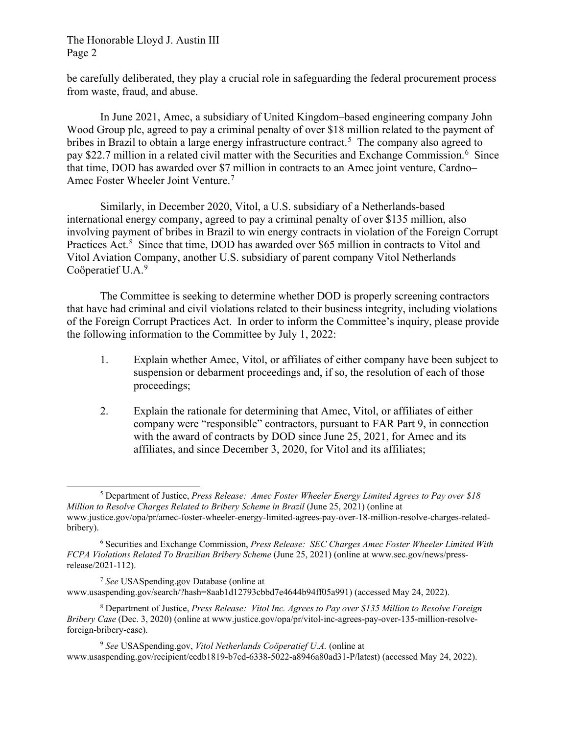## The Honorable Lloyd J. Austin III Page 2

be carefully deliberated, they play a crucial role in safeguarding the federal procurement process from waste, fraud, and abuse.

In June 2021, Amec, a subsidiary of United Kingdom–based engineering company John Wood Group plc, agreed to pay a criminal penalty of over \$18 million related to the payment of bribes in Brazil to obtain a large energy infrastructure contract.<sup>[5](#page-1-0)</sup> The company also agreed to pay \$22.7 million in a related civil matter with the Securities and Exchange Commission.<sup>[6](#page-1-1)</sup> Since that time, DOD has awarded over \$7 million in contracts to an Amec joint venture, Cardno– Amec Foster Wheeler Joint Venture.[7](#page-1-2)

Similarly, in December 2020, Vitol, a U.S. subsidiary of a Netherlands-based international energy company, agreed to pay a criminal penalty of over \$135 million, also involving payment of bribes in Brazil to win energy contracts in violation of the Foreign Corrupt Practices Act.<sup>[8](#page-1-3)</sup> Since that time, DOD has awarded over \$65 million in contracts to Vitol and Vitol Aviation Company, another U.S. subsidiary of parent company Vitol Netherlands Coöperatief U.A.<sup>[9](#page-1-4)</sup>

The Committee is seeking to determine whether DOD is properly screening contractors that have had criminal and civil violations related to their business integrity, including violations of the Foreign Corrupt Practices Act. In order to inform the Committee's inquiry, please provide the following information to the Committee by July 1, 2022:

- 1. Explain whether Amec, Vitol, or affiliates of either company have been subject to suspension or debarment proceedings and, if so, the resolution of each of those proceedings;
- 2. Explain the rationale for determining that Amec, Vitol, or affiliates of either company were "responsible" contractors, pursuant to FAR Part 9, in connection with the award of contracts by DOD since June 25, 2021, for Amec and its affiliates, and since December 3, 2020, for Vitol and its affiliates;

<span id="page-1-4"></span><sup>9</sup> *See* USASpending.gov, *Vitol Netherlands Coöperatief U.A.* (online at www.usaspending.gov/recipient/eedb1819-b7cd-6338-5022-a8946a80ad31-P/latest) (accessed May 24, 2022).

<span id="page-1-0"></span><sup>5</sup> Department of Justice, *Press Release: Amec Foster Wheeler Energy Limited Agrees to Pay over \$18 Million to Resolve Charges Related to Bribery Scheme in Brazil* (June 25, 2021) (online at www.justice.gov/opa/pr/amec-foster-wheeler-energy-limited-agrees-pay-over-18-million-resolve-charges-relatedbribery).

<span id="page-1-1"></span><sup>6</sup> Securities and Exchange Commission, *Press Release: SEC Charges Amec Foster Wheeler Limited With FCPA Violations Related To Brazilian Bribery Scheme* (June 25, 2021) (online at www.sec.gov/news/pressrelease/2021-112).

<span id="page-1-2"></span><sup>7</sup> *See* USASpending.gov Database (online at www.usaspending.gov/search/?hash=8aab1d12793cbbd7e4644b94ff05a991) (accessed May 24, 2022).

<span id="page-1-3"></span><sup>8</sup> Department of Justice, *Press Release: Vitol Inc. Agrees to Pay over \$135 Million to Resolve Foreign Bribery Case* (Dec. 3, 2020) (online at www.justice.gov/opa/pr/vitol-inc-agrees-pay-over-135-million-resolveforeign-bribery-case).